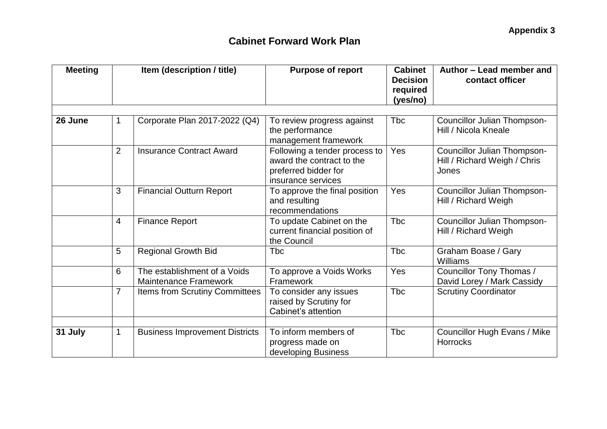| <b>Meeting</b> | Item (description / title) |                                                              | <b>Purpose of report</b>                                                                                 | <b>Cabinet</b><br><b>Decision</b><br>required<br>(yes/no) | Author - Lead member and<br>contact officer                          |  |
|----------------|----------------------------|--------------------------------------------------------------|----------------------------------------------------------------------------------------------------------|-----------------------------------------------------------|----------------------------------------------------------------------|--|
| 26 June        | 1                          | Corporate Plan 2017-2022 (Q4)                                | To review progress against<br>the performance                                                            | <b>Tbc</b>                                                | Councillor Julian Thompson-<br>Hill / Nicola Kneale                  |  |
|                |                            |                                                              | management framework                                                                                     |                                                           |                                                                      |  |
|                | $\overline{2}$             | <b>Insurance Contract Award</b>                              | Following a tender process to<br>award the contract to the<br>preferred bidder for<br>insurance services | Yes                                                       | Councillor Julian Thompson-<br>Hill / Richard Weigh / Chris<br>Jones |  |
|                | 3                          | <b>Financial Outturn Report</b>                              | To approve the final position<br>and resulting<br>recommendations                                        | Yes                                                       | Councillor Julian Thompson-<br>Hill / Richard Weigh                  |  |
|                | $\overline{4}$             | <b>Finance Report</b>                                        | To update Cabinet on the<br>current financial position of<br>the Council                                 | <b>T</b> bc                                               | <b>Councillor Julian Thompson-</b><br>Hill / Richard Weigh           |  |
|                | 5                          | <b>Regional Growth Bid</b>                                   | Tbc                                                                                                      | <b>T</b> bc                                               | Graham Boase / Gary<br>Williams                                      |  |
|                | 6                          | The establishment of a Voids<br><b>Maintenance Framework</b> | To approve a Voids Works<br>Framework                                                                    | Yes                                                       | Councillor Tony Thomas /<br>David Lorey / Mark Cassidy               |  |
|                | $\overline{7}$             | <b>Items from Scrutiny Committees</b>                        | To consider any issues<br>raised by Scrutiny for<br>Cabinet's attention                                  | <b>Tbc</b>                                                | <b>Scrutiny Coordinator</b>                                          |  |
|                |                            |                                                              | To inform members of                                                                                     |                                                           |                                                                      |  |
| 31 July        | 1                          | <b>Business Improvement Districts</b>                        | progress made on<br>developing Business                                                                  | <b>Tbc</b>                                                | <b>Councillor Hugh Evans / Mike</b><br><b>Horrocks</b>               |  |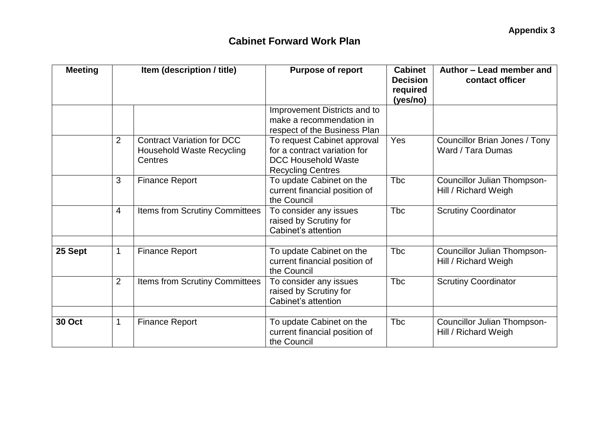| <b>Meeting</b> | Item (description / title) |                                                                                  | <b>Purpose of report</b>                                                                                              | <b>Cabinet</b><br><b>Decision</b><br>required<br>(yes/no) | Author - Lead member and<br>contact officer                |  |
|----------------|----------------------------|----------------------------------------------------------------------------------|-----------------------------------------------------------------------------------------------------------------------|-----------------------------------------------------------|------------------------------------------------------------|--|
|                |                            |                                                                                  | Improvement Districts and to<br>make a recommendation in<br>respect of the Business Plan                              |                                                           |                                                            |  |
|                | $\overline{2}$             | <b>Contract Variation for DCC</b><br><b>Household Waste Recycling</b><br>Centres | To request Cabinet approval<br>for a contract variation for<br><b>DCC Household Waste</b><br><b>Recycling Centres</b> | Yes                                                       | Councillor Brian Jones / Tony<br>Ward / Tara Dumas         |  |
|                | 3                          | <b>Finance Report</b>                                                            | To update Cabinet on the<br>current financial position of<br>the Council                                              | Tbc                                                       | <b>Councillor Julian Thompson-</b><br>Hill / Richard Weigh |  |
|                | $\overline{4}$             | Items from Scrutiny Committees                                                   | To consider any issues<br>raised by Scrutiny for<br>Cabinet's attention                                               | <b>Tbc</b>                                                | <b>Scrutiny Coordinator</b>                                |  |
| 25 Sept        | $\mathbf 1$                | <b>Finance Report</b>                                                            | To update Cabinet on the<br>current financial position of<br>the Council                                              | <b>Tbc</b>                                                | <b>Councillor Julian Thompson-</b><br>Hill / Richard Weigh |  |
|                | $\overline{2}$             | Items from Scrutiny Committees                                                   | To consider any issues<br>raised by Scrutiny for<br>Cabinet's attention                                               | <b>T</b> bc                                               | <b>Scrutiny Coordinator</b>                                |  |
| <b>30 Oct</b>  | 1                          | <b>Finance Report</b>                                                            | To update Cabinet on the<br>current financial position of<br>the Council                                              | <b>Tbc</b>                                                | Councillor Julian Thompson-<br>Hill / Richard Weigh        |  |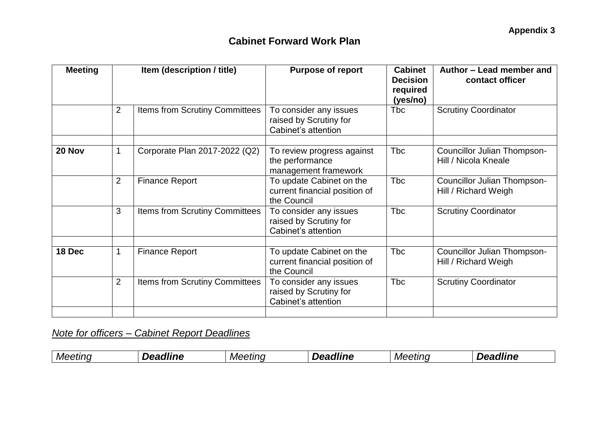| <b>Meeting</b> | Item (description / title) |                                       | <b>Purpose of report</b>                                                 | <b>Cabinet</b><br><b>Decision</b><br>required<br>(yes/no) | Author - Lead member and<br>contact officer                |  |
|----------------|----------------------------|---------------------------------------|--------------------------------------------------------------------------|-----------------------------------------------------------|------------------------------------------------------------|--|
|                | $\overline{2}$             | Items from Scrutiny Committees        | To consider any issues<br>raised by Scrutiny for<br>Cabinet's attention  | Tbc                                                       | <b>Scrutiny Coordinator</b>                                |  |
| 20 Nov         | 1                          | Corporate Plan 2017-2022 (Q2)         | To review progress against<br>the performance<br>management framework    | Tbc                                                       | Councillor Julian Thompson-<br>Hill / Nicola Kneale        |  |
|                | 2                          | <b>Finance Report</b>                 | To update Cabinet on the<br>current financial position of<br>the Council | <b>Tbc</b>                                                | <b>Councillor Julian Thompson-</b><br>Hill / Richard Weigh |  |
|                | 3                          | <b>Items from Scrutiny Committees</b> | To consider any issues<br>raised by Scrutiny for<br>Cabinet's attention  | <b>Tbc</b>                                                | <b>Scrutiny Coordinator</b>                                |  |
| 18 Dec         | 1                          | <b>Finance Report</b>                 | To update Cabinet on the<br>current financial position of<br>the Council | <b>Tbc</b>                                                | <b>Councillor Julian Thompson-</b><br>Hill / Richard Weigh |  |
|                | $\overline{2}$             | <b>Items from Scrutiny Committees</b> | To consider any issues<br>raised by Scrutiny for<br>Cabinet's attention  | <b>Tbc</b>                                                | <b>Scrutiny Coordinator</b>                                |  |
|                |                            |                                       |                                                                          |                                                           |                                                            |  |

*Note for officers – Cabinet Report Deadlines*

| <i>wer</i><br><i>TIFIC</i><br>,,,,,,<br>. п.<br> | <i>Mer</i> | .<br>---<br>. | $\sim$<br>NAP I |  | atınn | --- |
|--------------------------------------------------|------------|---------------|-----------------|--|-------|-----|
|--------------------------------------------------|------------|---------------|-----------------|--|-------|-----|